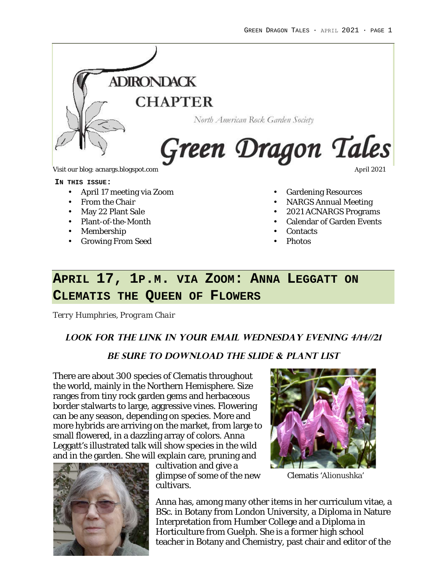

#### **IN THIS ISSUE:**

- April 17 meeting via Zoom
- From the Chair
- May 22 Plant Sale
- Plant-of-the-Month
- Membership
- Growing From Seed
- Gardening Resources
- NARGS Annual Meeting
- 2021 ACNARGS Programs
- Calendar of Garden Events
- Contacts
- Photos

# **APRIL 17, 1P.M. VIA ZOOM: ANNA LEGGATT ON CLEMATIS THE QUEEN OF FLOWERS**

*Terry Humphries, Program Chair*

#### **Look for the link in your email Wednesday EVENING 4/14//21**

#### **Be Sure to download the Slide & plant list**

There are about 300 species of Clematis throughout the world, mainly in the Northern Hemisphere. Size ranges from tiny rock garden gems and herbaceous border stalwarts to large, aggressive vines. Flowering can be any season, depending on species. More and more hybrids are arriving on the market, from large to small flowered, in a dazzling array of colors. Anna Leggatt's illustrated talk will show species in the wild and in the garden. She will explain care, pruning and



cultivation and give a glimpse of some of the new cultivars.



Clematis 'Alionushka'

Anna has, among many other items in her curriculum vitae, a BSc. in Botany from London University, a Diploma in Nature Interpretation from Humber College and a Diploma in Horticulture from Guelph. She is a former high school teacher in Botany and Chemistry, past chair and editor of the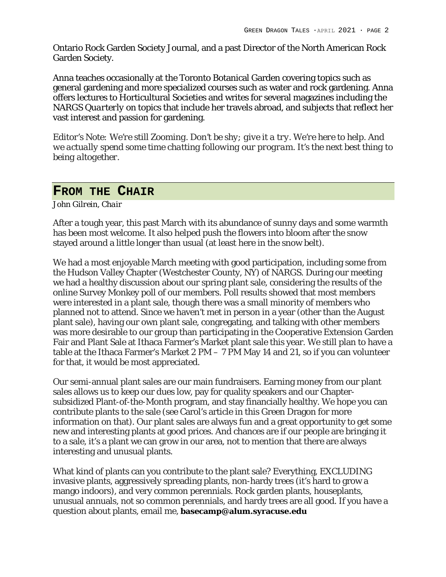Ontario Rock Garden Society Journal, and a past Director of the North American Rock Garden Society.

Anna teaches occasionally at the Toronto Botanical Garden covering topics such as general gardening and more specialized courses such as water and rock gardening. Anna offers lectures to Horticultural Societies and writes for several magazines including the NARGS *Quarterly* on topics that include her travels abroad, and subjects that reflect her vast interest and passion for gardening.

*Editor's Note: We're still Zooming. Don't be shy; give it a try. We're here to help. And we actually spend some time chatting following our program. It's the next best thing to being altogether.*

### **FROM THE CHAIR**

*John Gilrein, Chair*

After a tough year, this past March with its abundance of sunny days and some warmth has been most welcome. It also helped push the flowers into bloom after the snow stayed around a little longer than usual (at least here in the snow belt).

We had a most enjoyable March meeting with good participation, including some from the Hudson Valley Chapter (Westchester County, NY) of NARGS. During our meeting we had a healthy discussion about our spring plant sale, considering the results of the online Survey Monkey poll of our members. Poll results showed that most members were interested in a plant sale, though there was a small minority of members who planned not to attend. Since we haven't met in person in a year (other than the August plant sale), having our own plant sale, congregating, and talking with other members was more desirable to our group than participating in the Cooperative Extension Garden Fair and Plant Sale at Ithaca Farmer's Market plant sale this year. We still plan to have a table at the Ithaca Farmer's Market 2 PM – 7 PM May 14 and 21, so if you can volunteer for that, it would be most appreciated.

Our semi-annual plant sales are our main fundraisers. Earning money from our plant sales allows us to keep our dues low, pay for quality speakers and our Chaptersubsidized Plant-of-the-Month program, and stay financially healthy. We hope you can contribute plants to the sale (see Carol's article in this Green Dragon for more information on that). Our plant sales are always fun and a great opportunity to get some new and interesting plants at good prices. And chances are if our people are bringing it to a sale, it's a plant we can grow in our area, not to mention that there are always interesting and unusual plants.

What kind of plants can you contribute to the plant sale? Everything, EXCLUDING invasive plants, aggressively spreading plants, non-hardy trees (it's hard to grow a mango indoors), and very common perennials. Rock garden plants, houseplants, unusual annuals, not so common perennials, and hardy trees are all good. If you have a question about plants, email me, **basecamp@alum.syracuse.edu**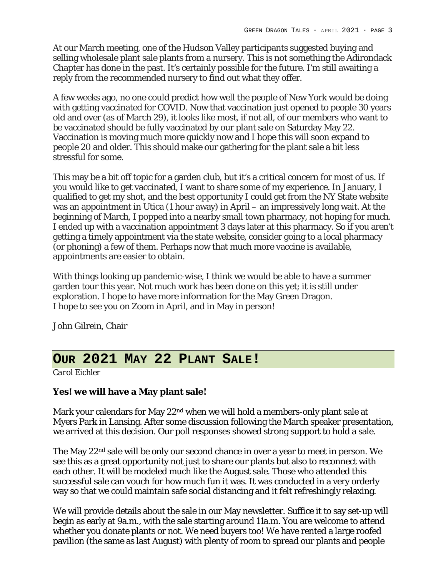At our March meeting, one of the Hudson Valley participants suggested buying and selling wholesale plant sale plants from a nursery. This is not something the Adirondack Chapter has done in the past. It's certainly possible for the future. I'm still awaiting a reply from the recommended nursery to find out what they offer.

A few weeks ago, no one could predict how well the people of New York would be doing with getting vaccinated for COVID. Now that vaccination just opened to people 30 years old and over (as of March 29), it looks like most, if not all, of our members who want to be vaccinated should be fully vaccinated by our plant sale on Saturday May 22. Vaccination is moving much more quickly now and I hope this will soon expand to people 20 and older. This should make our gathering for the plant sale a bit less stressful for some.

This may be a bit off topic for a garden club, but it's a critical concern for most of us. If you would like to get vaccinated, I want to share some of my experience. In January, I qualified to get my shot, and the best opportunity I could get from the NY State website was an appointment in Utica (1 hour away) in April – an impressively long wait. At the beginning of March, I popped into a nearby small town pharmacy, not hoping for much. I ended up with a vaccination appointment 3 days later at this pharmacy. So if you aren't getting a timely appointment via the state website, consider going to a local pharmacy (or phoning) a few of them. Perhaps now that much more vaccine is available, appointments are easier to obtain.

With things looking up pandemic-wise, I think we would be able to have a summer garden tour this year. Not much work has been done on this yet; it is still under exploration. I hope to have more information for the May Green Dragon. I hope to see you on Zoom in April, and in May in person!

John Gilrein, Chair

# **OUR 2021 MAY 22 PLANT SALE!**

*Carol Eichler*

**Yes! we will have a May plant sale!**

Mark your calendars for May 22<sup>nd</sup> when we will hold a members-only plant sale at Myers Park in Lansing. After some discussion following the March speaker presentation, we arrived at this decision. Our poll responses showed strong support to hold a sale.

The May 22<sup>nd</sup> sale will be only our second chance in over a year to meet in person. We see this as a great opportunity not just to share our plants but also to reconnect with each other. It will be modeled much like the August sale. Those who attended this successful sale can vouch for how much fun it was. It was conducted in a very orderly way so that we could maintain safe social distancing and it felt refreshingly relaxing.

We will provide details about the sale in our May newsletter. Suffice it to say set-up will begin as early at 9a.m., with the sale starting around 11a.m. You are welcome to attend whether you donate plants or not. We need buyers too! We have rented a large roofed pavilion (the same as last August) with plenty of room to spread our plants and people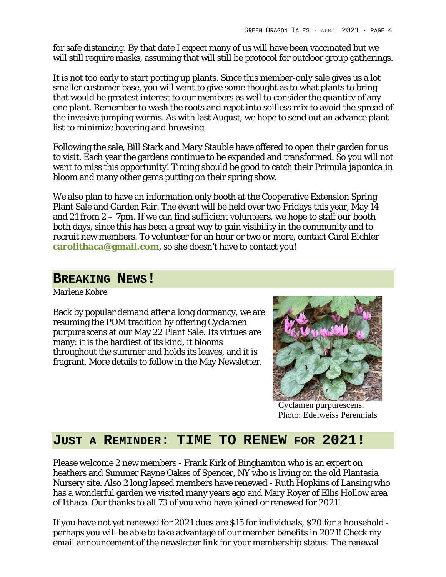for safe distancing. By that date I expect many of us will have been vaccinated but we will still require masks, assuming that will still be protocol for outdoor group gatherings.

It is not too early to start potting up plants. Since this member-only sale gives us a lot smaller customer base, you will want to give some thought as to what plants to bring that would be greatest interest to our members as well to consider the quantity of any one plant. Remember to wash the roots and repot into soilless mix to avoid the spread of the invasive jumping worms. As with last August, we hope to send out an advance plant list to minimize hovering and browsing.

Following the sale, Bill Stark and Mary Stauble have offered to open their garden for us to visit. Each year the gardens continue to be expanded and transformed. So you will not want to miss this opportunity! Timing should be good to catch their *Primula japonica* in bloom and many other gems putting on their spring show.

We also plan to have an information only booth at the Cooperative Extension Spring Plant Sale and Garden Fair. The event will be held over two Fridays this year, May 14 and 21 from 2 – 7pm. If we can find sufficient volunteers, we hope to staff our booth both days, since this has been a great way to gain visibility in the community and to recruit new members. To volunteer for an hour or two or more, contact Carol Eichler **carolithaca@gmail.com**, so she doesn't have to contact you!

### **BREAKING NEWS!**

*Marlene Kobre*

Back by popular demand after a long dormancy, we are resuming the POM tradition by offering *Cyclamen purpurascens* at our May 22 Plant Sale. Its virtues are many: it is the hardiest of its kind, it blooms throughout the summer and holds its leaves, and it is fragrant. More details to follow in the May Newsletter.



Cyclamen purpurescens. Photo: Edelweiss Perennials

## **JUST A REMINDER: TIME TO RENEW FOR 2021!**

Please welcome 2 new members - Frank Kirk of Binghamton who is an expert on heathers and Summer Rayne Oakes of Spencer, NY who is living on the old Plantasia Nursery site. Also 2 long lapsed members have renewed - Ruth Hopkins of Lansing who has a wonderful garden we visited many years ago and Mary Royer of Ellis Hollow area of Ithaca. Our thanks to all 73 of you who have joined or renewed for 2021!

If you have not yet renewed for 2021 dues are \$15 for individuals, \$20 for a household perhaps you will be able to take advantage of our member benefits in 2021! Check my email announcement of the newsletter link for your membership status. The renewal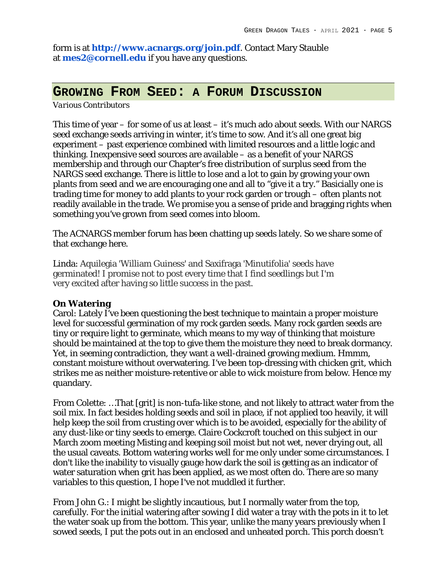form is at **http://www.acnargs.org/join.pdf**. Contact Mary Stauble at **mes2@cornell.edu** if you have any questions.

### **GROWING FROM SEED: A FORUM DISCUSSION**

#### *Various Contributors*

This time of year – for some of us at least – it's much ado about seeds. With our NARGS seed exchange seeds arriving in winter, it's time to sow. And it's all one great big experiment – past experience combined with limited resources and a little logic and thinking. Inexpensive seed sources are available – as a benefit of your NARGS membership and through our Chapter's free distribution of surplus seed from the NARGS seed exchange. There is little to lose and a lot to gain by growing your own plants from seed and we are encouraging one and all to "give it a try." Basicially one is trading time for money to add plants to your rock garden or trough – often plants not readily available in the trade. We promise you a sense of pride and bragging rights when something you've grown from seed comes into bloom.

The ACNARGS member forum has been chatting up seeds lately. So we share some of that exchange here.

Linda: Aquilegia 'William Guiness' and Saxifraga 'Minutifolia' seeds have germinated! I promise not to post every time that I find seedlings but I'm very excited after having so little success in the past.

#### **On Watering**

Carol: Lately I've been questioning the best technique to maintain a proper moisture level for successful germination of my rock garden seeds. Many rock garden seeds are tiny or require light to germinate, which means to my way of thinking that moisture should be maintained at the top to give them the moisture they need to break dormancy. Yet, in seeming contradiction, they want a well-drained growing medium. Hmmm, constant moisture without overwatering. I've been top-dressing with chicken grit, which strikes me as neither moisture-retentive or able to wick moisture from below. Hence my quandary.

From Colette: …That [grit] is non-tufa-like stone, and not likely to attract water from the soil mix. In fact besides holding seeds and soil in place, if not applied too heavily, it will help keep the soil from crusting over which is to be avoided, especially for the ability of any dust-like or tiny seeds to emerge. Claire Cockcroft touched on this subject in our March zoom meeting Misting and keeping soil moist but not wet, never drying out, all the usual caveats. Bottom watering works well for me only under some circumstances. I don't like the inability to visually gauge how dark the soil is getting as an indicator of water saturation when grit has been applied, as we most often do. There are so many variables to this question, I hope I've not muddled it further.

From John G.: I might be slightly incautious, but I normally water from the top, carefully. For the initial watering after sowing I did water a tray with the pots in it to let the water soak up from the bottom. This year, unlike the many years previously when I sowed seeds, I put the pots out in an enclosed and unheated porch. This porch doesn't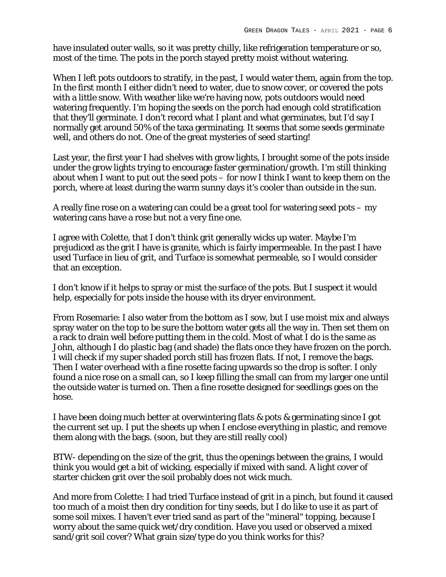have insulated outer walls, so it was pretty chilly, like refrigeration temperature or so, most of the time. The pots in the porch stayed pretty moist without watering.

When I left pots outdoors to stratify, in the past, I would water them, again from the top. In the first month I either didn't need to water, due to snow cover, or covered the pots with a little snow. With weather like we're having now, pots outdoors would need watering frequently. I'm hoping the seeds on the porch had enough cold stratification that they'll germinate. I don't record what I plant and what germinates, but I'd say I normally get around 50% of the taxa germinating. It seems that some seeds germinate well, and others do not. One of the great mysteries of seed starting!

Last year, the first year I had shelves with grow lights, I brought some of the pots inside under the grow lights trying to encourage faster germination/growth. I'm still thinking about when I want to put out the seed pots – for now I think I want to keep them on the porch, where at least during the warm sunny days it's cooler than outside in the sun.

A really fine rose on a watering can could be a great tool for watering seed pots – my watering cans have a rose but not a very fine one.

I agree with Colette, that I don't think grit generally wicks up water. Maybe I'm prejudiced as the grit I have is granite, which is fairly impermeable. In the past I have used Turface in lieu of grit, and Turface is somewhat permeable, so I would consider that an exception.

I don't know if it helps to spray or mist the surface of the pots. But I suspect it would help, especially for pots inside the house with its dryer environment.

From Rosemarie: I also water from the bottom as I sow, but I use moist mix and always spray water on the top to be sure the bottom water gets all the way in. Then set them on a rack to drain well before putting them in the cold. Most of what I do is the same as John, although I do plastic bag (and shade) the flats once they have frozen on the porch. I will check if my super shaded porch still has frozen flats. If not, I remove the bags. Then I water overhead with a fine rosette facing upwards so the drop is softer. I only found a nice rose on a small can, so I keep filling the small can from my larger one until the outside water is turned on. Then a fine rosette designed for seedlings goes on the hose.

I have been doing much better at overwintering flats & pots & germinating since I got the current set up. I put the sheets up when I enclose everything in plastic, and remove them along with the bags. (soon, but they are still really cool)

BTW- depending on the size of the grit, thus the openings between the grains, I would think you would get a bit of wicking, especially if mixed with sand. A light cover of starter chicken grit over the soil probably does not wick much.

And more from Colette: I had tried Turface instead of grit in a pinch, but found it caused too much of a moist then dry condition for tiny seeds, but I do like to use it as part of some soil mixes. I haven't ever tried sand as part of the "mineral" topping, because I worry about the same quick wet/dry condition. Have you used or observed a mixed sand/grit soil cover? What grain size/type do you think works for this?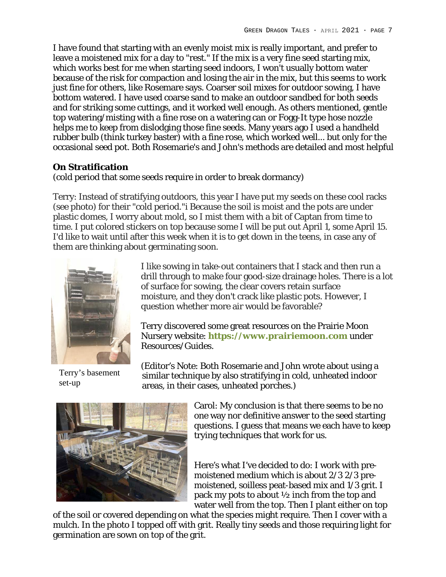I have found that starting with an evenly moist mix is really important, and prefer to leave a moistened mix for a day to "rest." If the mix is a very fine seed starting mix, which works best for me when starting seed indoors, I won't usually bottom water because of the risk for compaction and losing the air in the mix, but this seems to work just fine for others, like Rosemare says. Coarser soil mixes for outdoor sowing, I have bottom watered. I have used coarse sand to make an outdoor sandbed for both seeds and for striking some cuttings, and it worked well enough. As others mentioned, gentle top watering/misting with a fine rose on a watering can or Fogg-It type hose nozzle helps me to keep from dislodging those fine seeds. Many years ago I used a handheld rubber bulb (think turkey baster) with a fine rose, which worked well... but only for the occasional seed pot. Both Rosemarie's and John's methods are detailed and most helpful

### **On Stratification**

(cold period that some seeds require in order to break dormancy)

Terry: Instead of stratifying outdoors, this year I have put my seeds on these cool racks (see photo) for their "cold period."i Because the soil is moist and the pots are under plastic domes, I worry about mold, so I mist them with a bit of Captan from time to time. I put colored stickers on top because some I will be put out April 1, some April 15. I'd like to wait until after this week when it is to get down in the teens, in case any of them are thinking about germinating soon.



Terry's basement set-up

I like sowing in take-out containers that I stack and then run a drill through to make four good-size drainage holes. There is a lot of surface for sowing, the clear covers retain surface moisture, and they don't crack like plastic pots. However, I question whether more air would be favorable?

Terry discovered some great resources on the Prairie Moon Nursery website: **https://www.prairiemoon.com** under Resources/Guides.

(Editor's Note: Both Rosemarie and John wrote about using a similar technique by also stratifying in cold, unheated indoor areas, in their cases, unheated porches.)



Carol: My conclusion is that there seems to be no one way nor definitive answer to the seed starting questions. I guess that means we each have to keep trying techniques that work for us.

Here's what I've decided to do: I work with premoistened medium which is about 2/3 2/3 premoistened, soilless peat-based mix and 1/3 grit. I pack my pots to about ½ inch from the top and water well from the top. Then I plant either on top

of the soil or covered depending on what the species might require. Then I cover with a mulch. In the photo I topped off with grit. Really tiny seeds and those requiring light for germination are sown on top of the grit.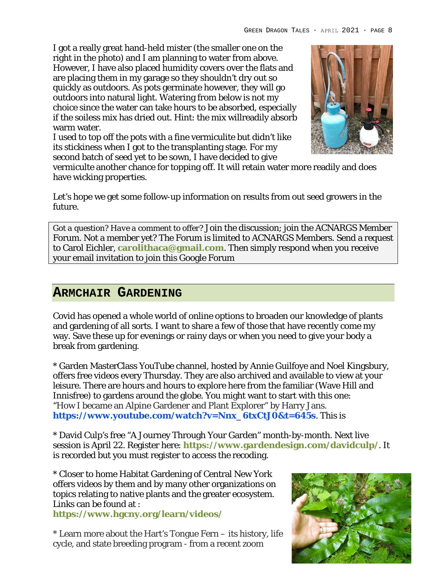I got a really great hand-held mister (the smaller one on the right in the photo) and I am planning to water from above. However, I have also placed humidity covers over the flats and are placing them in my garage so they shouldn't dry out so quickly as outdoors. As pots germinate however, they will go outdoors into natural light. Watering from below is not my choice since the water can take hours to be absorbed, especially if the soiless mix has dried out. Hint: the mix willreadily absorb warm water.

I used to top off the pots with a fine vermiculite but didn't like its stickiness when I got to the transplanting stage. For my second batch of seed yet to be sown, I have decided to give



vermiculte another chance for topping off. It will retain water more readily and does have wicking properties.

Let's hope we get some follow-up information on results from out seed growers in the future.

*Got a question? Have a comment to offer?* Join the discussion; join the ACNARGS Member Forum. Not a member yet? The Forum is limited to ACNARGS Members. Send a request to Carol Eichler, **carolithaca@gmail.com**. Then simply respond when you receive your email invitation to join this Google Forum

## **ARMCHAIR GARDENING**

Covid has opened a whole world of online options to broaden our knowledge of plants and gardening of all sorts. I want to share a few of those that have recently come my way. Save these up for evenings or rainy days or when you need to give your body a break from gardening.

\* Garden MasterClass YouTube channel, hosted by Annie Guilfoye and Noel Kingsbury, offers free videos every Thursday. They are also archived and available to view at your leisure. There are hours and hours to explore here from the familiar (Wave Hill and Innisfree) to gardens around the globe. You might want to start with this one: "How I became an Alpine Gardener and Plant Explorer" by Harry Jans. **https://www.youtube.com/watch?v=Nnx\_6txCtJ0&t=645s**. This is

\* David Culp's free "A Journey Through Your Garden" month-by-month. Next live session is April 22. Register here: **https://www.gardendesign.com/davidculp/**. It is recorded but you must register to access the recoding.

\* Closer to home Habitat Gardening of Central New York offers videos by them and by many other organizations on topics relating to native plants and the greater ecosystem. Links can be found at :

**https://www.hgcny.org/learn/videos/**

\* Learn more about the Hart's Tongue Fern – its history, life cycle, and state breeding program - from a recent zoom

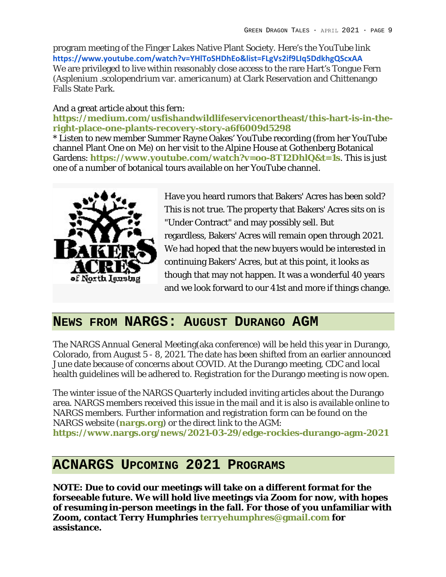program meeting of the Finger Lakes Native Plant Society. Here's the YouTube link **https://www.youtube.com/watch?v=YHlToSHDhEo&list=FLgVs2if9LIq5DdkhgQScxAA** We are privileged to live within reasonably close access to the rare Hart's Tongue Fern (*Asplenium .scolopendrium* var. *americanum*) at Clark Reservation and Chittenango Falls State Park.

#### And a great article about this fern:

**https://medium.com/usfishandwildlifeservicenortheast/this-hart-is-in-theright-place-one-plants-recovery-story-a6f6009d5298**

\* Listen to new member Summer Rayne Oakes' YouTube recording (from her YouTube channel Plant One on Me) on her visit to the Alpine House at Gothenberg Botanical Gardens: **https://www.youtube.com/watch?v=oo-8T12DhlQ&t=1s**. This is just one of a number of botanical tours available on her YouTube channel.



Have you heard rumors that Bakers' Acres has been sold? This is not true. The property that Bakers' Acres sits on is "Under Contract" and may possibly sell. But regardless, Bakers' Acres will remain open through 2021. We had hoped that the new buyers would be interested in continuing Bakers' Acres, but at this point, it looks as though that may not happen. It was a wonderful 40 years and we look forward to our 41st and more if things change.

### **NEWS FROM NARGS: AUGUST DURANGO AGM**

The NARGS Annual General Meeting(aka conference) will be held this year in Durango, Colorado, from August 5 - 8, 2021. The date has been shifted from an earlier announced June date because of concerns about COVID. At the Durango meeting, CDC and local health guidelines will be adhered to. Registration for the Durango meeting is now open.

The winter issue of the NARGS Quarterly included inviting articles about the Durango area. NARGS members received this issue in the mail and it is also is available online to NARGS members. Further information and registration form can be found on the NARGS website (**nargs.org**) or the direct link to the AGM: **https://www.nargs.org/news/2021-03-29/edge-rockies-durango-agm-2021**

## **ACNARGS UPCOMING 2021 PROGRAMS**

**NOTE: Due to covid our meetings will take on a different format for the forseeable future. We will hold live meetings via Zoom for now, with hopes of resuming in-person meetings in the fall. For those of you unfamiliar with Zoom, contact Terry Humphries terryehumphres@gmail.com for assistance.**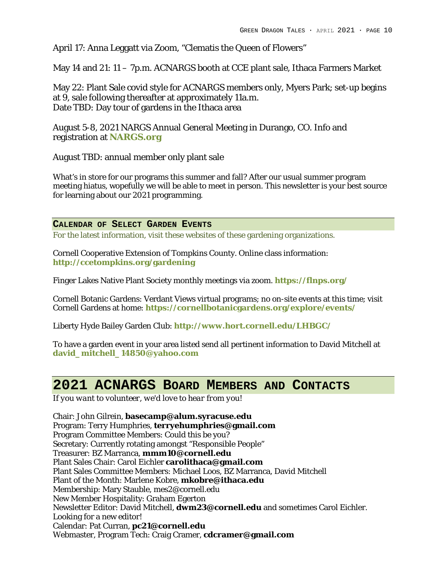April 17: Anna Leggatt via Zoom, "Clematis the Queen of Flowers"

May 14 and 21: 11 – 7p.m. ACNARGS booth at CCE plant sale, Ithaca Farmers Market

May 22: Plant Sale covid style for ACNARGS members only, Myers Park; set-up begins at 9, sale following thereafter at approximately 11a.m. Date TBD: Day tour of gardens in the Ithaca area

August 5-8, 2021 NARGS Annual General Meeting in Durango, CO. Info and registration at **NARGS.org** 

August TBD: annual member only plant sale

What's in store for our programs this summer and fall? After our usual summer program meeting hiatus, wopefully we will be able to meet in person. This newsletter is your best source for learning about our 2021 programming.

**CALENDAR OF SELECT GARDEN EVENTS**

For the latest information, visit these websites of these gardening organizations.

Cornell Cooperative Extension of Tompkins County. Online class information: **http://ccetompkins.org/gardening**

Finger Lakes Native Plant Society monthly meetings via zoom. **https://flnps.org/**

Cornell Botanic Gardens: Verdant Views virtual programs; no on-site events at this time; visit Cornell Gardens at home: **https://cornellbotanicgardens.org/explore/events/**

Liberty Hyde Bailey Garden Club: **http://www.hort.cornell.edu/LHBGC/**

To have a garden event in your area listed send all pertinent information to David Mitchell at **david\_mitchell\_14850@yahoo.com**

## **2021 ACNARGS BOARD MEMBERS AND CONTACTS**

*If you want to volunteer, we'd love to hear from you!*

Chair: John Gilrein, **basecamp@alum.syracuse.edu** Program: Terry Humphries, **terryehumphries@gmail.com** Program Committee Members: Could this be you? Secretary: Currently rotating amongst "Responsible People" Treasurer: BZ Marranca, **mmm10@cornell.edu** Plant Sales Chair: Carol Eichler **carolithaca@gmail.com** Plant Sales Committee Members: Michael Loos, BZ Marranca, David Mitchell Plant of the Month: Marlene Kobre, **mkobre@ithaca.edu** Membership: Mary Stauble, mes2@cornell.edu New Member Hospitality: Graham Egerton Newsletter Editor: David Mitchell, **dwm23@cornell.edu** and sometimes Carol Eichler. Looking for a new editor! Calendar: Pat Curran, **pc21@cornell.edu** Webmaster, Program Tech: Craig Cramer, **cdcramer@gmail.com**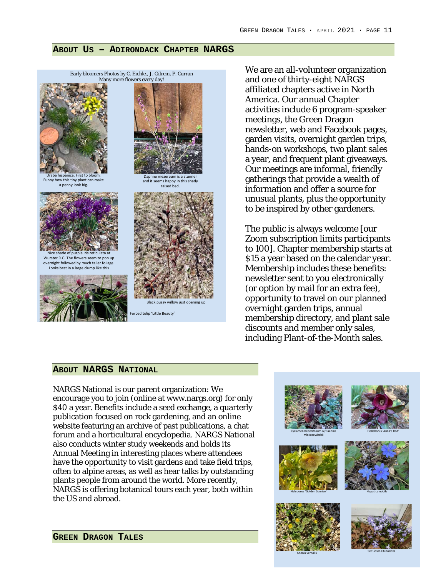#### **ABOUT US – ADIRONDACK CHAPTER NARGS**



We are an all-volunteer organization and one of thirty-eight NARGS affiliated chapters active in North America. Our annual Chapter activities include 6 program-speaker meetings, the Green Dragon newsletter, web and Facebook pages, garden visits, overnight garden trips, hands-on workshops, two plant sales a year, and frequent plant giveaways. Our meetings are informal, friendly gatherings that provide a wealth of information and offer a source for unusual plants, plus the opportunity to be inspired by other gardeners.

The public is always welcome [our Zoom subscription limits participants to 100]. Chapter membership starts at \$15 a year based on the calendar year. Membership includes these benefits: newsletter sent to you electronically (or option by mail for an extra fee), opportunity to travel on our planned overnight garden trips, annual membership directory, and plant sale discounts and member only sales, including Plant-of-the-Month sales.

#### **ABOUT NARGS NATIONAL**

NARGS National is our parent organization: We encourage you to join (online at www.nargs.org) for only \$40 a year. Benefits include a seed exchange, a quarterly publication focused on rock gardening, and an online website featuring an archive of past publications, a chat forum and a horticultural encyclopedia. NARGS National also conducts winter study weekends and holds its Annual Meeting in interesting places where attendees have the opportunity to visit gardens and take field trips, often to alpine areas, as well as hear talks by outstanding plants people from around the world. More recently, NARGS is offering botanical tours each year, both within the US and abroad.